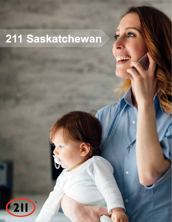# 211 Saskatchewan